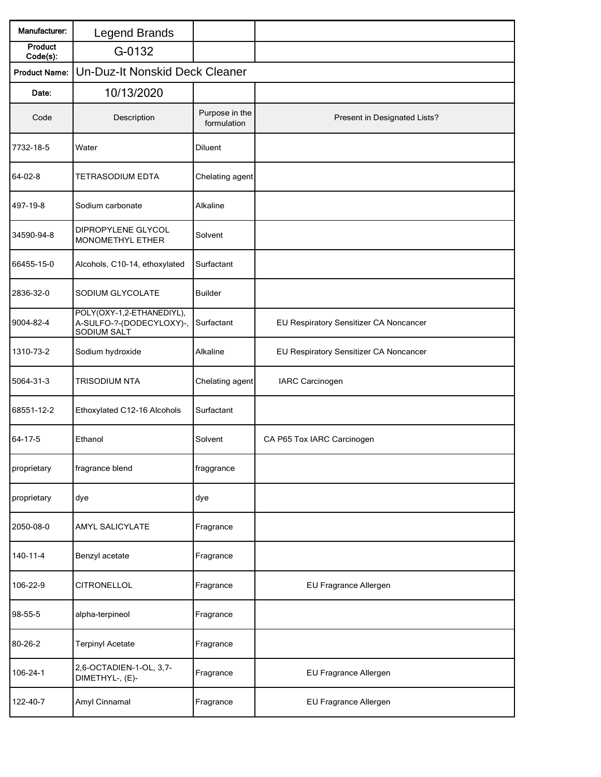| Manufacturer:              | <b>Legend Brands</b>                                                 |                               |                                        |  |  |
|----------------------------|----------------------------------------------------------------------|-------------------------------|----------------------------------------|--|--|
| <b>Product</b><br>Code(s): | G-0132                                                               |                               |                                        |  |  |
| <b>Product Name:</b>       | Un-Duz-It Nonskid Deck Cleaner                                       |                               |                                        |  |  |
| Date:                      | 10/13/2020                                                           |                               |                                        |  |  |
| Code                       | Description                                                          | Purpose in the<br>formulation | Present in Designated Lists?           |  |  |
| 7732-18-5                  | Water                                                                | <b>Diluent</b>                |                                        |  |  |
| 64-02-8                    | <b>TETRASODIUM EDTA</b>                                              | Chelating agent               |                                        |  |  |
| 497-19-8                   | Sodium carbonate                                                     | Alkaline                      |                                        |  |  |
| 34590-94-8                 | DIPROPYLENE GLYCOL<br>MONOMETHYL ETHER                               | Solvent                       |                                        |  |  |
| 66455-15-0                 | Alcohols, C10-14, ethoxylated                                        | Surfactant                    |                                        |  |  |
| 2836-32-0                  | SODIUM GLYCOLATE                                                     | <b>Builder</b>                |                                        |  |  |
| 9004-82-4                  | POLY(OXY-1,2-ETHANEDIYL),<br>A-SULFO-?-(DODECYLOXY)-,<br>SODIUM SALT | Surfactant                    | EU Respiratory Sensitizer CA Noncancer |  |  |
| 1310-73-2                  | Sodium hydroxide                                                     | Alkaline                      | EU Respiratory Sensitizer CA Noncancer |  |  |
| 5064-31-3                  | <b>TRISODIUM NTA</b>                                                 | Chelating agent               | <b>IARC Carcinogen</b>                 |  |  |
| 68551-12-2                 | Ethoxylated C12-16 Alcohols                                          | Surfactant                    |                                        |  |  |
| 64-17-5                    | Ethanol                                                              | Solvent                       | CA P65 Tox IARC Carcinogen             |  |  |
| proprietary                | fragrance blend                                                      | fraggrance                    |                                        |  |  |
| proprietary                | dye                                                                  | dye                           |                                        |  |  |
| 2050-08-0                  | AMYL SALICYLATE                                                      | Fragrance                     |                                        |  |  |
| 140-11-4                   | Benzyl acetate                                                       | Fragrance                     |                                        |  |  |
| 106-22-9                   | <b>CITRONELLOL</b>                                                   | Fragrance                     | EU Fragrance Allergen                  |  |  |
| 98-55-5                    | alpha-terpineol                                                      | Fragrance                     |                                        |  |  |
| 80-26-2                    | <b>Terpinyl Acetate</b>                                              | Fragrance                     |                                        |  |  |
| 106-24-1                   | 2,6-OCTADIEN-1-OL, 3,7-<br>DIMETHYL-, (E)-                           | Fragrance                     | EU Fragrance Allergen                  |  |  |
| 122-40-7                   | Amyl Cinnamal                                                        | Fragrance                     | EU Fragrance Allergen                  |  |  |